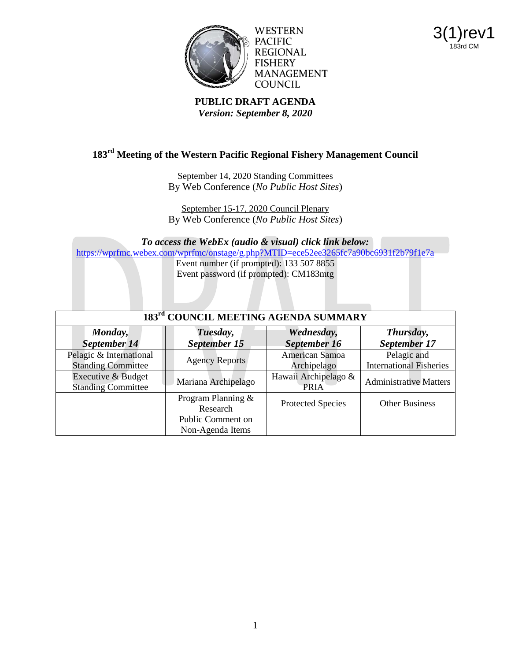

WESTERN PACIFIC **REGIONAL FISHERY MANAGEMENT COUNCIL** 



**PUBLIC DRAFT AGENDA** *Version: September 8, 2020*

# **183rd Meeting of the Western Pacific Regional Fishery Management Council**

September 14, 2020 Standing Committees By Web Conference (*No Public Host Sites*)

September 15-17, 2020 Council Plenary By Web Conference (*No Public Host Sites*)

*To access the WebEx (audio & visual) click link below:* <https://wprfmc.webex.com/wprfmc/onstage/g.php?MTID=ece52ee3265fc7a90bc6931f2b79f1e7a> Event number (if prompted): 133 507 8855 Event password (if prompted): CM183mtg

| 183 <sup>rd</sup> COUNCIL MEETING AGENDA SUMMARY     |                                       |                                     |                                               |
|------------------------------------------------------|---------------------------------------|-------------------------------------|-----------------------------------------------|
| Monday,<br>September 14                              | Tuesday,<br>September 15              | Wednesday,<br>September 16          | Thursday,<br>September 17                     |
| Pelagic & International<br><b>Standing Committee</b> | <b>Agency Reports</b>                 | American Samoa<br>Archipelago       | Pelagic and<br><b>International Fisheries</b> |
| Executive & Budget<br><b>Standing Committee</b>      | Mariana Archipelago                   | Hawaii Archipelago &<br><b>PRIA</b> | <b>Administrative Matters</b>                 |
|                                                      | Program Planning &<br>Research        | <b>Protected Species</b>            | <b>Other Business</b>                         |
|                                                      | Public Comment on<br>Non-Agenda Items |                                     |                                               |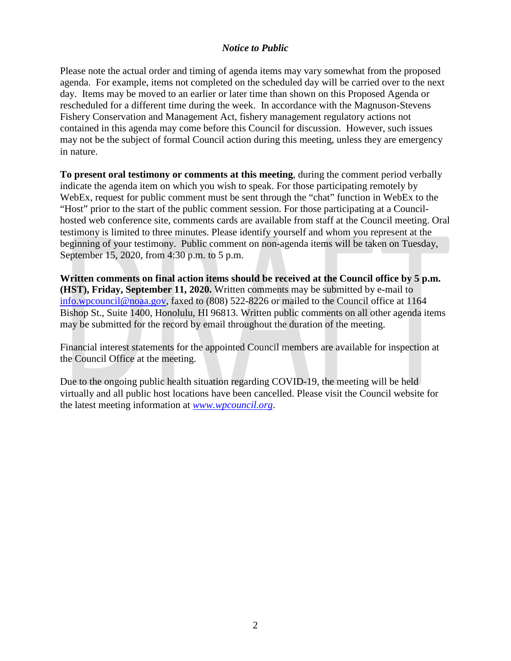# *Notice to Public*

Please note the actual order and timing of agenda items may vary somewhat from the proposed agenda. For example, items not completed on the scheduled day will be carried over to the next day. Items may be moved to an earlier or later time than shown on this Proposed Agenda or rescheduled for a different time during the week. In accordance with the Magnuson-Stevens Fishery Conservation and Management Act, fishery management regulatory actions not contained in this agenda may come before this Council for discussion. However, such issues may not be the subject of formal Council action during this meeting, unless they are emergency in nature.

**To present oral testimony or comments at this meeting**, during the comment period verbally indicate the agenda item on which you wish to speak. For those participating remotely by WebEx, request for public comment must be sent through the "chat" function in WebEx to the "Host" prior to the start of the public comment session. For those participating at a Councilhosted web conference site, comments cards are available from staff at the Council meeting. Oral testimony is limited to three minutes. Please identify yourself and whom you represent at the beginning of your testimony. Public comment on non-agenda items will be taken on Tuesday, September 15, 2020, from 4:30 p.m. to 5 p.m.

**Written comments on final action items should be received at the Council office by 5 p.m. (HST), Friday, September 11, 2020.** Written comments may be submitted by e-mail to [info.wpcouncil@noaa.gov,](mailto:info.wpcouncil@noaa.gov) faxed to (808) 522-8226 or mailed to the Council office at 1164 Bishop St., Suite 1400, Honolulu, HI 96813. Written public comments on all other agenda items may be submitted for the record by email throughout the duration of the meeting.

Financial interest statements for the appointed Council members are available for inspection at the Council Office at the meeting.

Due to the ongoing public health situation regarding COVID-19, the meeting will be held virtually and all public host locations have been cancelled. Please visit the Council website for the latest meeting information at *[www.wpcouncil.org](http://www.wpcouncil.org/)*.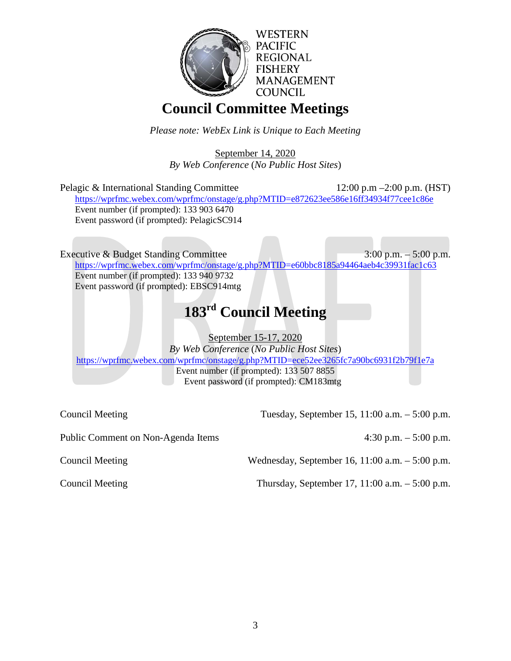

# **Council Committee Meetings**

*Please note: WebEx Link is Unique to Each Meeting*

September 14, 2020 *By Web Conference* (*No Public Host Sites*)

| Pelagic & International Standing Committee<br>https://wprfmc.webex.com/wprfmc/onstage/g.php?MTID=e872623ee586e16ff34934f77cee1c86e | 12:00 p.m $-2:00$ p.m. (HST) |
|------------------------------------------------------------------------------------------------------------------------------------|------------------------------|
| Event number (if prompted): 133 903 6470<br>Event password (if prompted): PelagicSC914                                             |                              |
|                                                                                                                                    |                              |

Executive & Budget Standing Committee 3:00 p.m. – 5:00 p.m. [https://wprfmc.webex.com/wprfmc/onstage/g.php?MTID=e60bbc8185a94464aeb4c39931fac1c63](https://wprfmc.webex.com/wprfmc/onstage/g.php?MTID=e60bbc8185a94494aeb4c39931fac1c63) Event number (if prompted): 133 940 9732 Event password (if prompted): EBSC914mtg

# **183rd Council Meeting**

September 15-17, 2020

*By Web Conference* (*No Public Host Sites*) <https://wprfmc.webex.com/wprfmc/onstage/g.php?MTID=ece52ee3265fc7a90bc6931f2b79f1e7a> Event number (if prompted): 133 507 8855 Event password (if prompted): CM183mtg

Council Meeting Tuesday, September 15, 11:00 a.m. – 5:00 p.m.

Public Comment on Non-Agenda Items 4:30 p.m. – 5:00 p.m.

Council Meeting Wednesday, September 16, 11:00 a.m. – 5:00 p.m.

Council Meeting Thursday, September 17, 11:00 a.m. – 5:00 p.m.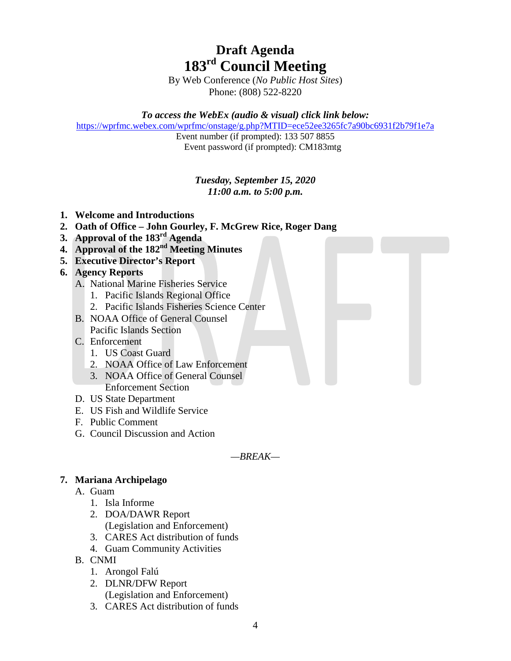# **Draft Agenda 183rd Council Meeting**

By Web Conference (*No Public Host Sites*) Phone: (808) 522-8220

*To access the WebEx (audio & visual) click link below:*

<https://wprfmc.webex.com/wprfmc/onstage/g.php?MTID=ece52ee3265fc7a90bc6931f2b79f1e7a>

Event number (if prompted): 133 507 8855 Event password (if prompted): CM183mtg

# *Tuesday, September 15, 2020 11:00 a.m. to 5:00 p.m.*

- **1. Welcome and Introductions**
- **2. Oath of Office – John Gourley, F. McGrew Rice, Roger Dang**
- **3. Approval of the 183rd Agenda**
- **4. Approval of the 182nd Meeting Minutes**
- **5. Executive Director's Report**
- **6. Agency Reports**
	- A. National Marine Fisheries Service
		- 1. Pacific Islands Regional Office
		- 2. Pacific Islands Fisheries Science Center
	- B. NOAA Office of General Counsel Pacific Islands Section
	- C. Enforcement
		- 1. US Coast Guard
		- 2. NOAA Office of Law Enforcement
		- 3. NOAA Office of General Counsel Enforcement Section
	- D. US State Department
	- E. US Fish and Wildlife Service
	- F. Public Comment
	- G. Council Discussion and Action

*—BREAK—*

# **7. Mariana Archipelago**

- A. Guam
	- 1. Isla Informe
	- 2. DOA/DAWR Report (Legislation and Enforcement)
	- 3. CARES Act distribution of funds
	- 4. Guam Community Activities
- B. CNMI
	- 1. Arongol Falú
	- 2. DLNR/DFW Report (Legislation and Enforcement)
	- 3. CARES Act distribution of funds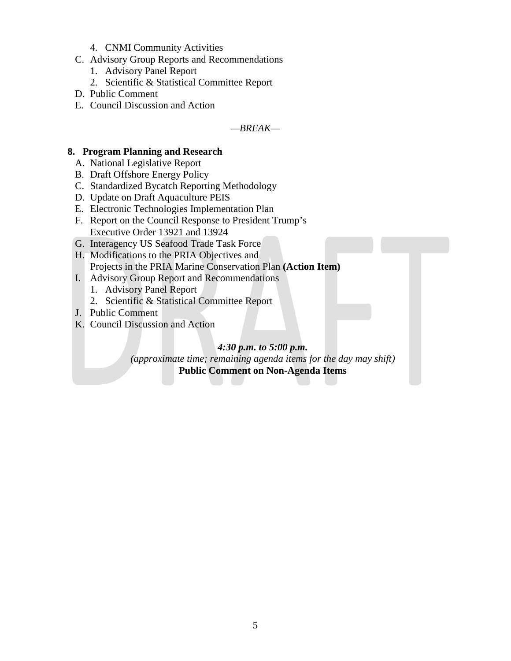- 4. CNMI Community Activities
- C. Advisory Group Reports and Recommendations
	- 1. Advisory Panel Report
	- 2. Scientific & Statistical Committee Report
- D. Public Comment
- E. Council Discussion and Action

*—BREAK—*

#### **8. Program Planning and Research**

- A. National Legislative Report
- B. Draft Offshore Energy Policy
- C. Standardized Bycatch Reporting Methodology
- D. Update on Draft Aquaculture PEIS
- E. Electronic Technologies Implementation Plan
- F. Report on the Council Response to President Trump's Executive Order 13921 and 13924
- G. Interagency US Seafood Trade Task Force
- H. Modifications to the PRIA Objectives and Projects in the PRIA Marine Conservation Plan **(Action Item)**
- I. Advisory Group Report and Recommendations
	- 1. Advisory Panel Report
	- 2. Scientific & Statistical Committee Report
- J. Public Comment
- K. Council Discussion and Action

*4:30 p.m. to 5:00 p.m.*

*(approximate time; remaining agenda items for the day may shift)* **Public Comment on Non-Agenda Items**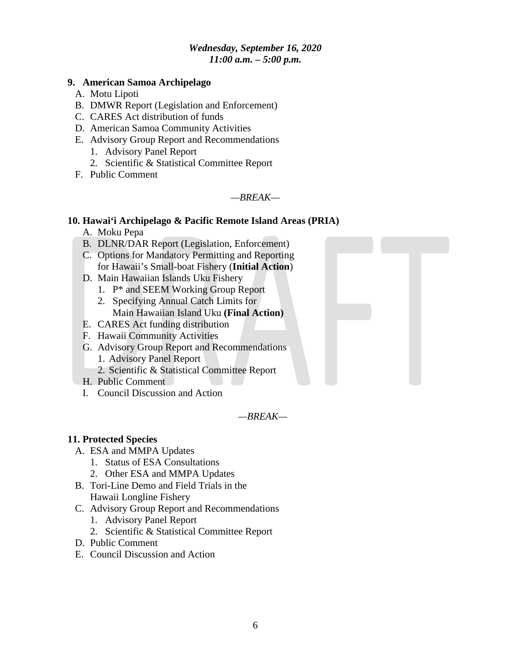# *Wednesday, September 16, 2020 11:00 a.m. – 5:00 p.m.*

#### **9. American Samoa Archipelago**

- A. Motu Lipoti
- B. DMWR Report (Legislation and Enforcement)
- C. CARES Act distribution of funds
- D. American Samoa Community Activities
- E. Advisory Group Report and Recommendations
	- 1. Advisory Panel Report
	- 2. Scientific & Statistical Committee Report
- F. Public Comment

#### *—BREAK—*

# **10. Hawai'i Archipelago & Pacific Remote Island Areas (PRIA)**

- A. Moku Pepa
- B. DLNR/DAR Report (Legislation, Enforcement)
- C. Options for Mandatory Permitting and Reporting for Hawaii's Small-boat Fishery (**Initial Action**)
- D. Main Hawaiian Islands Uku Fishery
	- 1. P\* and SEEM Working Group Report
	- 2. Specifying Annual Catch Limits for Main Hawaiian Island Uku **(Final Action)**
- E. CARES Act funding distribution
- F. Hawaii Community Activities
- G. Advisory Group Report and Recommendations
	- 1. Advisory Panel Report
	- 2. Scientific & Statistical Committee Report
- H. Public Comment
- I. Council Discussion and Action

#### *—BREAK—*

#### **11. Protected Species**

- A. ESA and MMPA Updates
	- 1. Status of ESA Consultations
	- 2. Other ESA and MMPA Updates
- B. Tori-Line Demo and Field Trials in the Hawaii Longline Fishery
- C. Advisory Group Report and Recommendations
	- 1. Advisory Panel Report
	- 2. Scientific & Statistical Committee Report
- D. Public Comment
- E. Council Discussion and Action